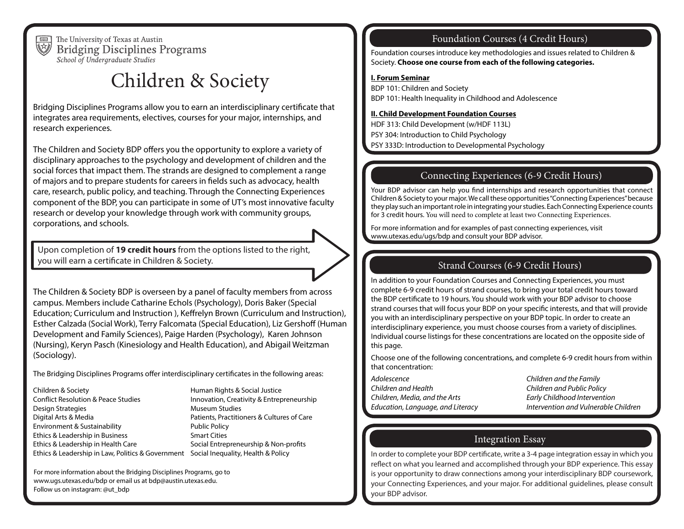

The University of Texas at Austin **Bridging Disciplines Programs** School of Undergraduate Studies

# Children & Society

Bridging Disciplines Programs allow you to earn an interdisciplinary certificate that integrates area requirements, electives, courses for your major, internships, and research experiences.

The Children and Society BDP offers you the opportunity to explore a variety of disciplinary approaches to the psychology and development of children and the social forces that impact them. The strands are designed to complement a range of majors and to prepare students for careers in fields such as advocacy, health care, research, public policy, and teaching. Through the Connecting Experiences component of the BDP, you can participate in some of UT's most innovative faculty research or develop your knowledge through work with community groups, corporations, and schools.

Upon completion of **19 credit hours** from the options listed to the right, you will earn a certificate in Children & Society.

The Children & Society BDP is overseen by a panel of faculty members from across campus. Members include Catharine Echols (Psychology), Doris Baker (Special Education; Curriculum and Instruction ), Keffrelyn Brown (Curriculum and Instruction), Esther Calzada (Social Work), Terry Falcomata (Special Education), Liz Gershoff (Human Development and Family Sciences), Paige Harden (Psychology), Karen Johnson (Nursing), Keryn Pasch (Kinesiology and Health Education), and Abigail Weitzman (Sociology).

The Bridging Disciplines Programs offer interdisciplinary certificates in the following areas:

Children & Society Conflict Resolution & Peace Studies Design Strategies Digital Arts & Media Environment & Sustainability Ethics & Leadership in Business Ethics & Leadership in Health Care Ethics & Leadership in Law, Politics & Government Social Inequality, Health & Policy

Human Rights & Social Justice Innovation, Creativity & Entrepreneurship Museum Studies Patients, Practitioners & Cultures of Care Public Policy Smart Cities Social Entrepreneurship & Non-profits

For more information about the Bridging Disciplines Programs, go to www.ugs.utexas.edu/bdp or email us at bdp@austin.utexas.edu. Follow us on instagram: @ut\_bdp

# Foundation Courses (4 Credit Hours)

Foundation courses introduce key methodologies and issues related to Children & Society. **Choose one course from each of the following categories.**

#### **I. Forum Seminar**

BDP 101: Children and Society BDP 101: Health Inequality in Childhood and Adolescence

#### **II. Child Development Foundation Courses**

HDF 313: Child Development (w/HDF 113L) PSY 304: Introduction to Child Psychology PSY 333D: Introduction to Developmental Psychology

# Connecting Experiences (6-9 Credit Hours)

Your BDP advisor can help you find internships and research opportunities that connect Children & Society to your major. We call these opportunities "Connecting Experiences" because they play such an important role in integrating your studies. Each Connecting Experience counts for 3 credit hours. You will need to complete at least two Connecting Experiences.

For more information and for examples of past connecting experiences, visit www.utexas.edu/ugs/bdp and consult your BDP advisor.

# Strand Courses (6-9 Credit Hours)

In addition to your Foundation Courses and Connecting Experiences, you must complete 6-9 credit hours of strand courses, to bring your total credit hours toward the BDP certificate to 19 hours. You should work with your BDP advisor to choose strand courses that will focus your BDP on your specific interests, and that will provide you with an interdisciplinary perspective on your BDP topic. In order to create an interdisciplinary experience, you must choose courses from a variety of disciplines. Individual course listings for these concentrations are located on the opposite side of this page.

Choose one of the following concentrations, and complete 6-9 credit hours from within that concentration:

- *Adolescence Children and the Family Children and Health Children and Public Policy Children, Media, and the Arts Early Childhood Intervention Education, Language, and Literacy Intervention and Vulnerable Children*
- 

# Integration Essay

In order to complete your BDP certificate, write a 3-4 page integration essay in which you reflect on what you learned and accomplished through your BDP experience. This essay is your opportunity to draw connections among your interdisciplinary BDP coursework, your Connecting Experiences, and your major. For additional guidelines, please consult your BDP advisor.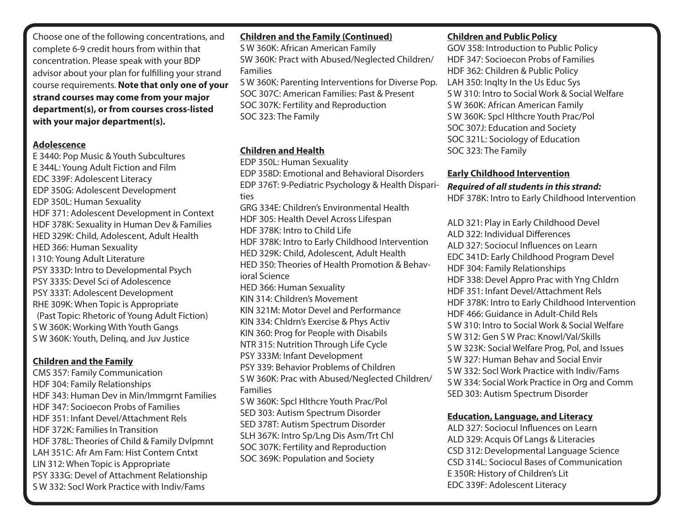Choose one of the following concentrations, and complete 6-9 credit hours from within that concentration. Please speak with your BDP advisor about your plan for fulfilling your strand course requirements. **Note that only one of your strand courses may come from your major department(s), or from courses cross-listed with your major department(s).** 

#### **Adolescence**

E 3440: Pop Music & Youth Subcultures E 344L: Young Adult Fiction and Film EDC 339F: Adolescent Literacy EDP 350G: Adolescent Development EDP 350L: Human Sexuality HDF 371: Adolescent Development in Context HDF 378K: Sexuality in Human Dev & Families HED 329K: Child, Adolescent, Adult Health HED 366: Human Sexuality I 310: Young Adult Literature PSY 333D: Intro to Developmental Psych PSY 333S: Devel Sci of Adolescence PSY 333T: Adolescent Development RHE 309K: When Topic is Appropriate (Past Topic: Rhetoric of Young Adult Fiction) S W 360K: Working With Youth Gangs S W 360K: Youth, Delinq, and Juv Justice

#### **Children and the Family**

CMS 357: Family Communication HDF 304: Family Relationships HDF 343: Human Dev in Min/Immgrnt Families HDF 347: Socioecon Probs of Families HDF 351: Infant Devel/Attachment Rels HDF 372K: Families In Transition HDF 378L: Theories of Child & Family Dvlpmnt LAH 351C: Afr Am Fam: Hist Contem Cntxt LIN 312: When Topic is Appropriate PSY 333G: Devel of Attachment Relationship S W 332: Socl Work Practice with Indiv/Fams

#### **Children and the Family (Continued)**

S W 360K: African American Family SW 360K: Pract with Abused/Neglected Children/ Families S W 360K: Parenting Interventions for Diverse Pop.

SOC 307C: American Families: Past & Present SOC 307K: Fertility and Reproduction SOC 323: The Family

#### **Children and Health**

EDP 350L: Human Sexuality EDP 358D: Emotional and Behavioral Disorders EDP 376T: 9-Pediatric Psychology & Health Disparities GRG 334E: Children's Environmental Health HDF 305: Health Devel Across Lifespan HDF 378K: Intro to Child Life HDF 378K: Intro to Early Childhood Intervention HED 329K: Child, Adolescent, Adult Health HED 350: Theories of Health Promotion & Behavioral Science HED 366: Human Sexuality KIN 314: Children's Movement KIN 321M: Motor Devel and Performance KIN 334: Chldrn's Exercise & Phys Activ KIN 360: Prog for People with Disabils NTR 315: Nutrition Through Life Cycle PSY 333M: Infant Development PSY 339: Behavior Problems of Children S W 360K: Prac with Abused/Neglected Children/ Families S W 360K: Spcl Hlthcre Youth Prac/Pol SED 303: Autism Spectrum Disorder SED 378T: Autism Spectrum Disorder

SLH 367K: Intro Sp/Lng Dis Asm/Trt Chl SOC 307K: Fertility and Reproduction SOC 369K: Population and Society

### **Children and Public Policy**

GOV 358: Introduction to Public Policy HDF 347: Socioecon Probs of Families HDF 362: Children & Public Policy LAH 350: Inqlty In the Us Educ Sys S W 310: Intro to Social Work & Social Welfare S W 360K: African American Family S W 360K: Spcl Hlthcre Youth Prac/Pol SOC 307J: Education and Society SOC 321L: Sociology of Education SOC 323: The Family

#### **Early Childhood Intervention**

#### *Required of all students in this strand:* HDF 378K: Intro to Early Childhood Intervention

ALD 321: Play in Early Childhood Devel ALD 322: Individual Differences ALD 327: Sociocul Influences on Learn EDC 341D: Early Childhood Program Devel HDF 304: Family Relationships HDF 338: Devel Appro Prac with Yng Chldrn HDF 351: Infant Devel/Attachment Rels HDF 378K: Intro to Early Childhood Intervention HDF 466: Guidance in Adult-Child Rels S W 310: Intro to Social Work & Social Welfare S W 312: Gen S W Prac: Knowl/Val/Skills S W 323K: Social Welfare Prog, Pol, and Issues S W 327: Human Behav and Social Envir S W 332: Socl Work Practice with Indiv/Fams S W 334: Social Work Practice in Org and Comm SED 303: Autism Spectrum Disorder

#### **Education, Language, and Literacy**

ALD 327: Sociocul Influences on Learn ALD 329: Acquis Of Langs & Literacies CSD 312: Developmental Language Science CSD 314L: Sociocul Bases of Communication E 350R: History of Children's Lit EDC 339F: Adolescent Literacy